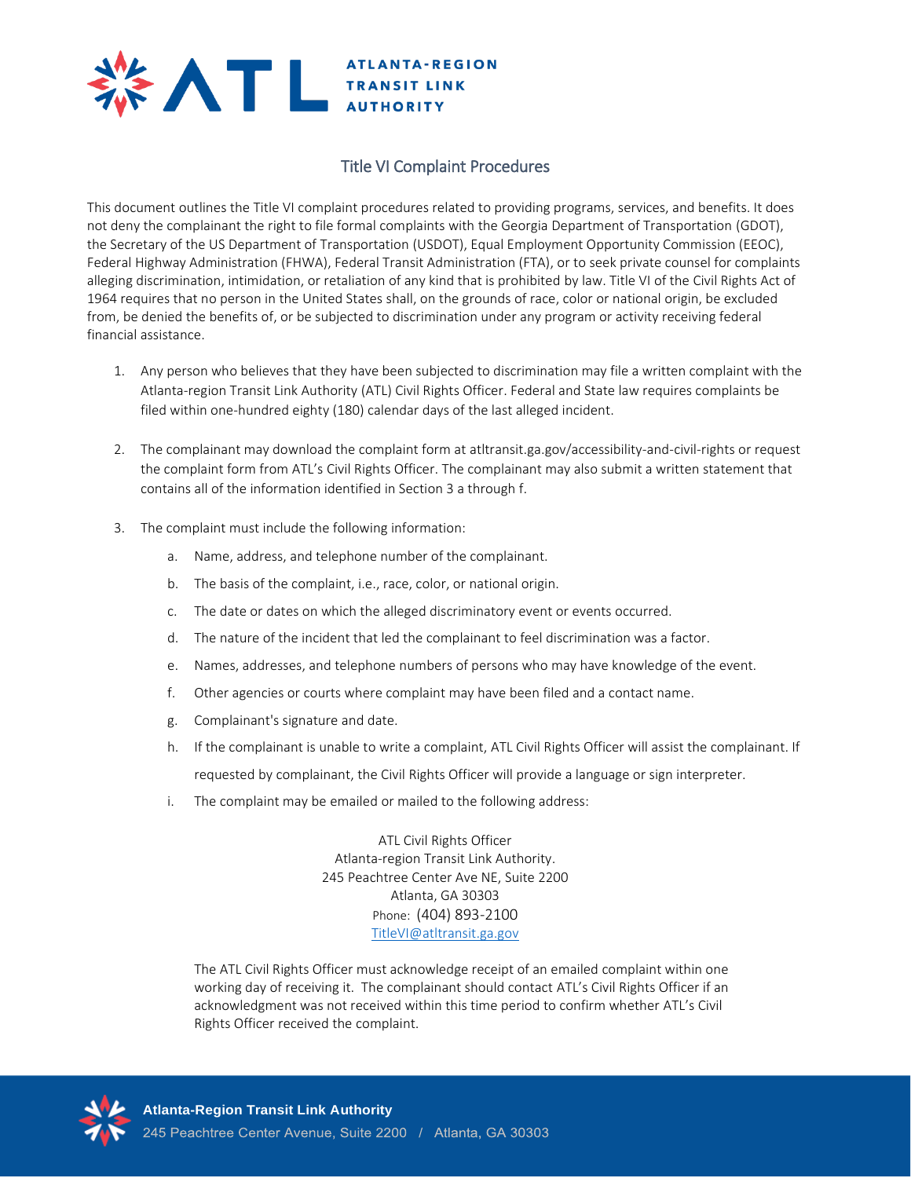

## Title VI Complaint Procedures

This document outlines the Title VI complaint procedures related to providing programs, services, and benefits. It does not deny the complainant the right to file formal complaints with the Georgia Department of Transportation (GDOT), the Secretary of the US Department of Transportation (USDOT), Equal Employment Opportunity Commission (EEOC), Federal Highway Administration (FHWA), Federal Transit Administration (FTA), or to seek private counsel for complaints alleging discrimination, intimidation, or retaliation of any kind that is prohibited by law. Title VI of the Civil Rights Act of 1964 requires that no person in the United States shall, on the grounds of race, color or national origin, be excluded from, be denied the benefits of, or be subjected to discrimination under any program or activity receiving federal financial assistance.

- 1. Any person who believes that they have been subjected to discrimination may file a written complaint with the Atlanta-region Transit Link Authority (ATL) Civil Rights Officer. Federal and State law requires complaints be filed within one-hundred eighty (180) calendar days of the last alleged incident.
- 2. The complainant may download the complaint form at atltransit.ga.gov/accessibility-and-civil-rights or request the complaint form from ATL's Civil Rights Officer. The complainant may also submit a written statement that contains all of the information identified in Section 3 a through f.
- 3. The complaint must include the following information:
	- a. Name, address, and telephone number of the complainant.
	- b. The basis of the complaint, i.e., race, color, or national origin.
	- c. The date or dates on which the alleged discriminatory event or events occurred.
	- d. The nature of the incident that led the complainant to feel discrimination was a factor.
	- e. Names, addresses, and telephone numbers of persons who may have knowledge of the event.
	- f. Other agencies or courts where complaint may have been filed and a contact name.
	- g. Complainant's signature and date.
	- h. If the complainant is unable to write a complaint, ATL Civil Rights Officer will assist the complainant. If requested by complainant, the Civil Rights Officer will provide a language or sign interpreter.
	- i. The complaint may be emailed or mailed to the following address:

ATL Civil Rights Officer Atlanta-region Transit Link Authority. 245 Peachtree Center Ave NE, Suite 2200 Atlanta, GA 30303 Phone: (404) 893-2100 [TitleVI@atltransit.ga.gov](mailto:TitleVI@atltransit.ga.gov)

The ATL Civil Rights Officer must acknowledge receipt of an emailed complaint within one working day of receiving it. The complainant should contact ATL's Civil Rights Officer if an acknowledgment was not received within this time period to confirm whether ATL's Civil Rights Officer received the complaint.

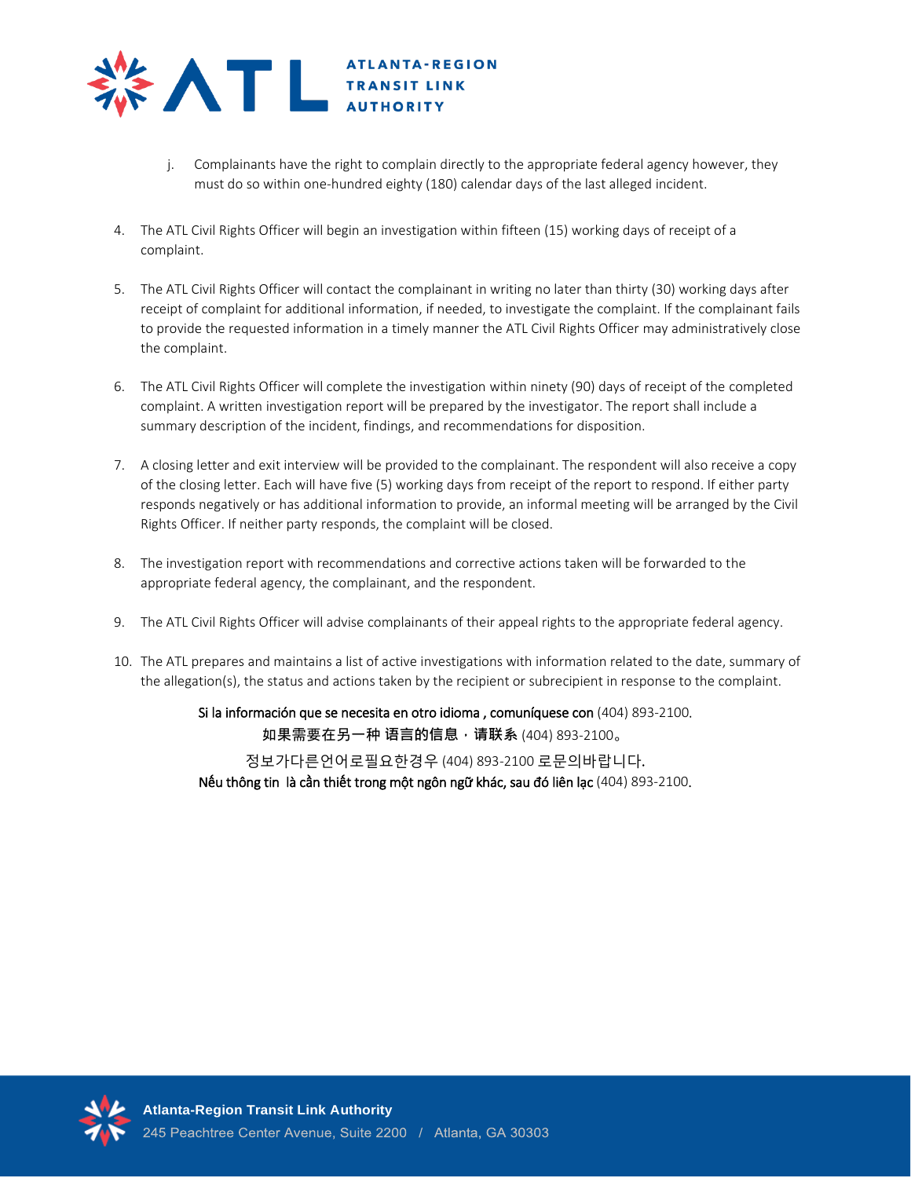

- j. Complainants have the right to complain directly to the appropriate federal agency however, they must do so within one-hundred eighty (180) calendar days of the last alleged incident.
- 4. The ATL Civil Rights Officer will begin an investigation within fifteen (15) working days of receipt of a complaint.
- 5. The ATL Civil Rights Officer will contact the complainant in writing no later than thirty (30) working days after receipt of complaint for additional information, if needed, to investigate the complaint. If the complainant fails to provide the requested information in a timely manner the ATL Civil Rights Officer may administratively close the complaint.
- 6. The ATL Civil Rights Officer will complete the investigation within ninety (90) days of receipt of the completed complaint. A written investigation report will be prepared by the investigator. The report shall include a summary description of the incident, findings, and recommendations for disposition.
- 7. A closing letter and exit interview will be provided to the complainant. The respondent will also receive a copy of the closing letter. Each will have five (5) working days from receipt of the report to respond. If either party responds negatively or has additional information to provide, an informal meeting will be arranged by the Civil Rights Officer. If neither party responds, the complaint will be closed.
- 8. The investigation report with recommendations and corrective actions taken will be forwarded to the appropriate federal agency, the complainant, and the respondent.
- 9. The ATL Civil Rights Officer will advise complainants of their appeal rights to the appropriate federal agency.
- 10. The ATL prepares and maintains a list of active investigations with information related to the date, summary of the allegation(s), the status and actions taken by the recipient or subrecipient in response to the complaint.

Si la información que se necesita en otro idioma , comuníquese con (404) 893-2100. 如果需要在另一种 **语言的信息,请联系** (404) 893-2100。

정보가다른언어로필요한경우 (404) 893-2100 로문의바랍니다.

Nếu thông tin là cần thiết trong một ngôn ngữ khác, sau đó liên lạc (404) 893-2100.

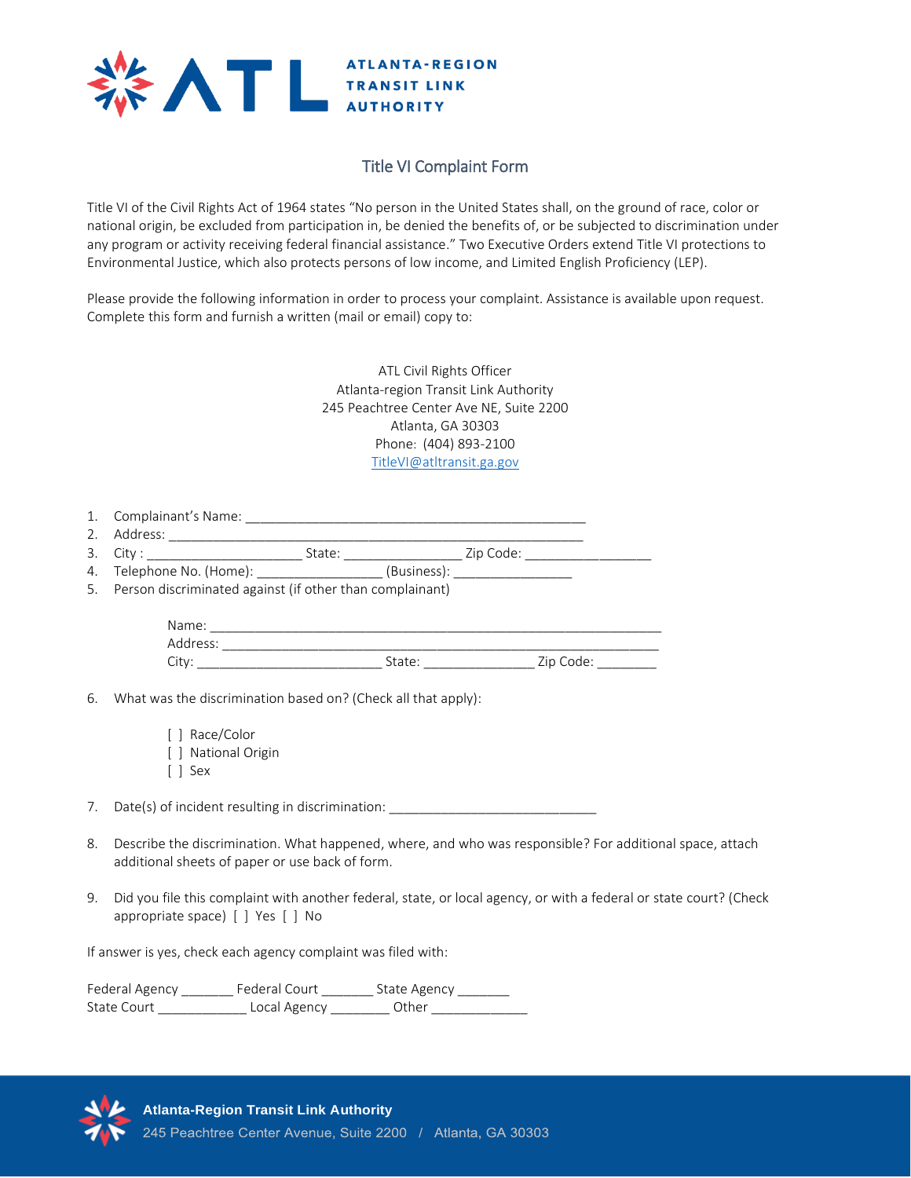

## Title VI Complaint Form

Title VI of the Civil Rights Act of 1964 states "No person in the United States shall, on the ground of race, color or national origin, be excluded from participation in, be denied the benefits of, or be subjected to discrimination under any program or activity receiving federal financial assistance." Two Executive Orders extend Title VI protections to Environmental Justice, which also protects persons of low income, and Limited English Proficiency (LEP).

Please provide the following information in order to process your complaint. Assistance is available upon request. Complete this form and furnish a written (mail or email) copy to:

> ATL Civil Rights Officer Atlanta-region Transit Link Authority 245 Peachtree Center Ave NE, Suite 2200 Atlanta, GA 30303 Phone: (404) 893-2100 [TitleVI@atltransit.ga.gov](mailto:TitleVI@atltransit.ga.gov)

| 1.                         | Complainant's Namer |
|----------------------------|---------------------|
| $\overline{2}$<br><u>.</u> | address             |

| -<br>-<br><u>.</u> | ັ<br>$ -$ | $\sim$ | -<br>_ |
|--------------------|-----------|--------|--------|
|                    |           |        |        |

- 4. Telephone No. (Home): \_\_\_\_\_\_\_\_\_\_\_\_\_\_\_\_\_\_\_(Business): \_\_\_\_\_\_\_\_\_\_\_\_\_\_\_\_\_\_\_\_\_\_\_\_
- 5. Person discriminated against (if other than complainant)

| Name.<br>$-$                                |       |                                |
|---------------------------------------------|-------|--------------------------------|
| - Au<br>ddress:<br>$\overline{\phantom{a}}$ |       |                                |
| ◡                                           | State | 7:21<br>$\sim$<br>couc.<br>، ب |

- 6. What was the discrimination based on? (Check all that apply):
	- [ ] Race/Color [ ] National Origin
	- [ ] Sex

7. Date(s) of incident resulting in discrimination: Date(s) of incident resulting in discrimination:

- 8. Describe the discrimination. What happened, where, and who was responsible? For additional space, attach additional sheets of paper or use back of form.
- 9. Did you file this complaint with another federal, state, or local agency, or with a federal or state court? (Check appropriate space) [ ] Yes [ ] No

If answer is yes, check each agency complaint was filed with:

Federal Agency \_\_\_\_\_\_\_\_\_ Federal Court \_\_\_\_\_\_\_\_ State Agency \_\_\_\_\_\_\_\_ State Court \_\_\_\_\_\_\_\_\_\_\_\_\_\_\_\_ Local Agency \_\_\_\_\_\_\_\_\_ Other \_\_\_\_\_\_\_\_\_\_\_\_\_\_\_\_\_\_\_\_\_\_